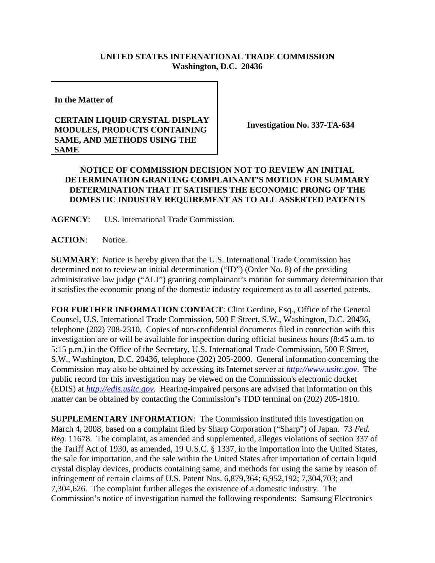## **UNITED STATES INTERNATIONAL TRADE COMMISSION Washington, D.C. 20436**

**In the Matter of** 

## **CERTAIN LIQUID CRYSTAL DISPLAY MODULES, PRODUCTS CONTAINING SAME, AND METHODS USING THE SAME**

**Investigation No. 337-TA-634**

## **NOTICE OF COMMISSION DECISION NOT TO REVIEW AN INITIAL DETERMINATION GRANTING COMPLAINANT'S MOTION FOR SUMMARY DETERMINATION THAT IT SATISFIES THE ECONOMIC PRONG OF THE DOMESTIC INDUSTRY REQUIREMENT AS TO ALL ASSERTED PATENTS**

**AGENCY**: U.S. International Trade Commission.

**ACTION**: Notice.

**SUMMARY**: Notice is hereby given that the U.S. International Trade Commission has determined not to review an initial determination ("ID") (Order No. 8) of the presiding administrative law judge ("ALJ") granting complainant's motion for summary determination that it satisfies the economic prong of the domestic industry requirement as to all asserted patents.

**FOR FURTHER INFORMATION CONTACT**: Clint Gerdine, Esq., Office of the General Counsel, U.S. International Trade Commission, 500 E Street, S.W., Washington, D.C. 20436, telephone (202) 708-2310. Copies of non-confidential documents filed in connection with this investigation are or will be available for inspection during official business hours (8:45 a.m. to 5:15 p.m.) in the Office of the Secretary, U.S. International Trade Commission, 500 E Street, S.W., Washington, D.C. 20436, telephone (202) 205-2000. General information concerning the Commission may also be obtained by accessing its Internet server at *http://www.usitc.gov*. The public record for this investigation may be viewed on the Commission's electronic docket (EDIS) at *http://edis.usitc.gov*. Hearing-impaired persons are advised that information on this matter can be obtained by contacting the Commission's TDD terminal on (202) 205-1810.

**SUPPLEMENTARY INFORMATION**: The Commission instituted this investigation on March 4, 2008, based on a complaint filed by Sharp Corporation ("Sharp") of Japan. 73 *Fed. Reg.* 11678. The complaint, as amended and supplemented, alleges violations of section 337 of the Tariff Act of 1930, as amended, 19 U.S.C. § 1337, in the importation into the United States, the sale for importation, and the sale within the United States after importation of certain liquid crystal display devices, products containing same, and methods for using the same by reason of infringement of certain claims of U.S. Patent Nos. 6,879,364; 6,952,192; 7,304,703; and 7,304,626. The complaint further alleges the existence of a domestic industry. The Commission's notice of investigation named the following respondents: Samsung Electronics